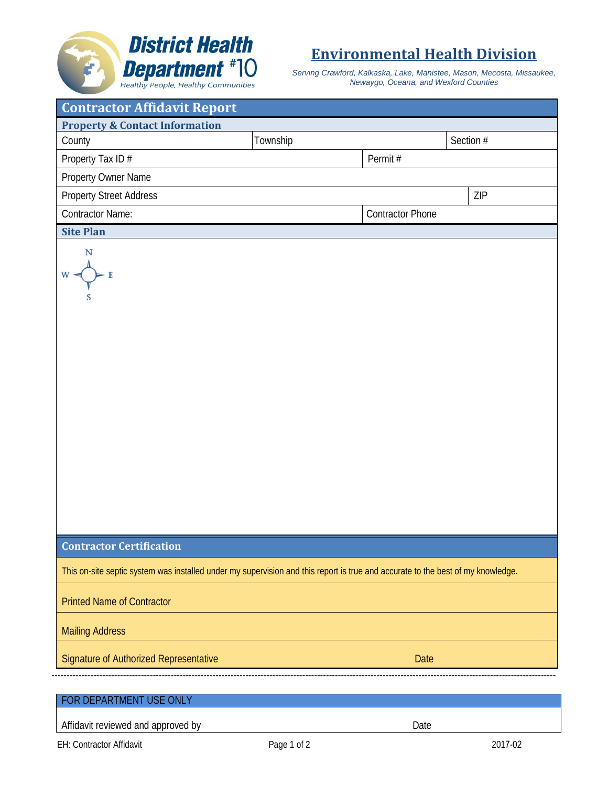## **District Health Department** #10

## **Environmental Health Division**

*Serving Crawford, Kalkaska, Lake, Manistee, Mason, Mecosta, Missaukee, Newaygo, Oceana, and Wexford Counties*

| <b>Contractor Affidavit Report</b>                                                                                              |          |                         |           |  |
|---------------------------------------------------------------------------------------------------------------------------------|----------|-------------------------|-----------|--|
| <b>Property &amp; Contact Information</b>                                                                                       |          |                         |           |  |
| County                                                                                                                          | Township |                         | Section # |  |
| Property Tax ID#                                                                                                                |          | Permit#                 |           |  |
| Property Owner Name                                                                                                             |          |                         |           |  |
| <b>Property Street Address</b>                                                                                                  |          |                         | ZIP       |  |
| <b>Contractor Name:</b>                                                                                                         |          | <b>Contractor Phone</b> |           |  |
| <b>Site Plan</b>                                                                                                                |          |                         |           |  |
| N<br>$W -$                                                                                                                      |          |                         |           |  |
| <b>Contractor Certification</b>                                                                                                 |          |                         |           |  |
| This on-site septic system was installed under my supervision and this report is true and accurate to the best of my knowledge. |          |                         |           |  |
| <b>Printed Name of Contractor</b>                                                                                               |          |                         |           |  |
| <b>Mailing Address</b>                                                                                                          |          |                         |           |  |
| Signature of Authorized Representative                                                                                          |          | Date                    |           |  |
|                                                                                                                                 |          |                         |           |  |
| FOR DEPARTMENT USE ONLY                                                                                                         |          |                         |           |  |
| Affidavit reviewed and approved by                                                                                              |          | Date                    |           |  |